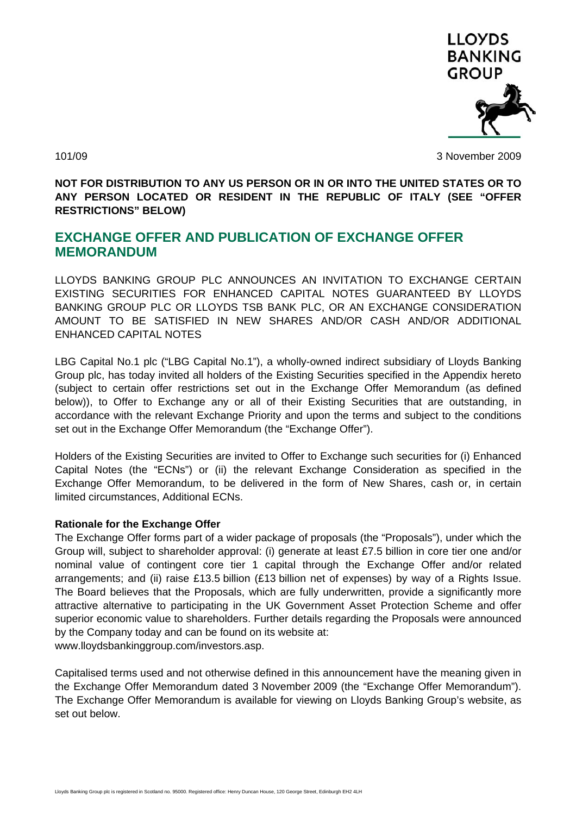

101/09 3 November 2009

**NOT FOR DISTRIBUTION TO ANY US PERSON OR IN OR INTO THE UNITED STATES OR TO ANY PERSON LOCATED OR RESIDENT IN THE REPUBLIC OF ITALY (SEE "OFFER RESTRICTIONS" BELOW)** 

# **EXCHANGE OFFER AND PUBLICATION OF EXCHANGE OFFER MEMORANDUM**

LLOYDS BANKING GROUP PLC ANNOUNCES AN INVITATION TO EXCHANGE CERTAIN EXISTING SECURITIES FOR ENHANCED CAPITAL NOTES GUARANTEED BY LLOYDS BANKING GROUP PLC OR LLOYDS TSB BANK PLC, OR AN EXCHANGE CONSIDERATION AMOUNT TO BE SATISFIED IN NEW SHARES AND/OR CASH AND/OR ADDITIONAL ENHANCED CAPITAL NOTES

LBG Capital No.1 plc ("LBG Capital No.1"), a wholly-owned indirect subsidiary of Lloyds Banking Group plc, has today invited all holders of the Existing Securities specified in the Appendix hereto (subject to certain offer restrictions set out in the Exchange Offer Memorandum (as defined below)), to Offer to Exchange any or all of their Existing Securities that are outstanding, in accordance with the relevant Exchange Priority and upon the terms and subject to the conditions set out in the Exchange Offer Memorandum (the "Exchange Offer").

Holders of the Existing Securities are invited to Offer to Exchange such securities for (i) Enhanced Capital Notes (the "ECNs") or (ii) the relevant Exchange Consideration as specified in the Exchange Offer Memorandum, to be delivered in the form of New Shares, cash or, in certain limited circumstances, Additional ECNs.

### **Rationale for the Exchange Offer**

The Exchange Offer forms part of a wider package of proposals (the "Proposals"), under which the Group will, subject to shareholder approval: (i) generate at least £7.5 billion in core tier one and/or nominal value of contingent core tier 1 capital through the Exchange Offer and/or related arrangements; and (ii) raise £13.5 billion (£13 billion net of expenses) by way of a Rights Issue. The Board believes that the Proposals, which are fully underwritten, provide a significantly more attractive alternative to participating in the UK Government Asset Protection Scheme and offer superior economic value to shareholders. Further details regarding the Proposals were announced by the Company today and can be found on its website at: www.lloydsbankinggroup.com/investors.asp.

Capitalised terms used and not otherwise defined in this announcement have the meaning given in the Exchange Offer Memorandum dated 3 November 2009 (the "Exchange Offer Memorandum"). The Exchange Offer Memorandum is available for viewing on Lloyds Banking Group's website, as set out below.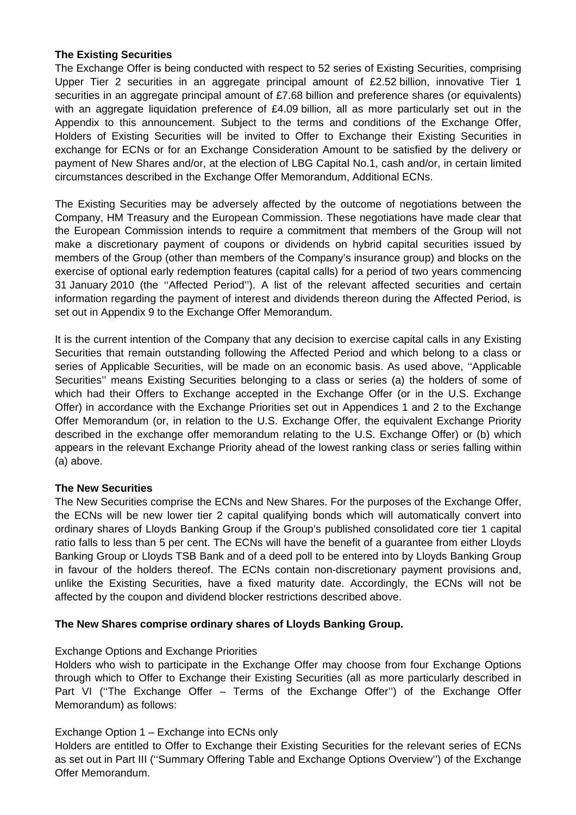### **The Existing Securities**

The Exchange Offer is being conducted with respect to 52 series of Existing Securities, comprising Upper Tier 2 securities in an aggregate principal amount of £2.52 billion, innovative Tier 1 securities in an aggregate principal amount of £7.68 billion and preference shares (or equivalents) with an aggregate liquidation preference of £4.09 billion, all as more particularly set out in the Appendix to this announcement. Subject to the terms and conditions of the Exchange Offer, Holders of Existing Securities will be invited to Offer to Exchange their Existing Securities in exchange for ECNs or for an Exchange Consideration Amount to be satisfied by the delivery or payment of New Shares and/or, at the election of LBG Capital No.1, cash and/or, in certain limited circumstances described in the Exchange Offer Memorandum, Additional ECNs.

The Existing Securities may be adversely affected by the outcome of negotiations between the Company, HM Treasury and the European Commission. These negotiations have made clear that the European Commission intends to require a commitment that members of the Group will not make a discretionary payment of coupons or dividends on hybrid capital securities issued by members of the Group (other than members of the Company's insurance group) and blocks on the exercise of optional early redemption features (capital calls) for a period of two years commencing 31 January 2010 (the ''Affected Period''). A list of the relevant affected securities and certain information regarding the payment of interest and dividends thereon during the Affected Period, is set out in Appendix 9 to the Exchange Offer Memorandum.

It is the current intention of the Company that any decision to exercise capital calls in any Existing Securities that remain outstanding following the Affected Period and which belong to a class or series of Applicable Securities, will be made on an economic basis. As used above, ''Applicable Securities'' means Existing Securities belonging to a class or series (a) the holders of some of which had their Offers to Exchange accepted in the Exchange Offer (or in the U.S. Exchange Offer) in accordance with the Exchange Priorities set out in Appendices 1 and 2 to the Exchange Offer Memorandum (or, in relation to the U.S. Exchange Offer, the equivalent Exchange Priority described in the exchange offer memorandum relating to the U.S. Exchange Offer) or (b) which appears in the relevant Exchange Priority ahead of the lowest ranking class or series falling within (a) above.

### **The New Securities**

The New Securities comprise the ECNs and New Shares. For the purposes of the Exchange Offer, the ECNs will be new lower tier 2 capital qualifying bonds which will automatically convert into ordinary shares of Lloyds Banking Group if the Group's published consolidated core tier 1 capital ratio falls to less than 5 per cent. The ECNs will have the benefit of a guarantee from either Lloyds Banking Group or Lloyds TSB Bank and of a deed poll to be entered into by Lloyds Banking Group in favour of the holders thereof. The ECNs contain non-discretionary payment provisions and, unlike the Existing Securities, have a fixed maturity date. Accordingly, the ECNs will not be affected by the coupon and dividend blocker restrictions described above.

## **The New Shares comprise ordinary shares of Lloyds Banking Group.**

### Exchange Options and Exchange Priorities

Holders who wish to participate in the Exchange Offer may choose from four Exchange Options through which to Offer to Exchange their Existing Securities (all as more particularly described in Part VI (''The Exchange Offer – Terms of the Exchange Offer'') of the Exchange Offer Memorandum) as follows:

## Exchange Option 1 – Exchange into ECNs only

Holders are entitled to Offer to Exchange their Existing Securities for the relevant series of ECNs as set out in Part III (''Summary Offering Table and Exchange Options Overview'') of the Exchange Offer Memorandum.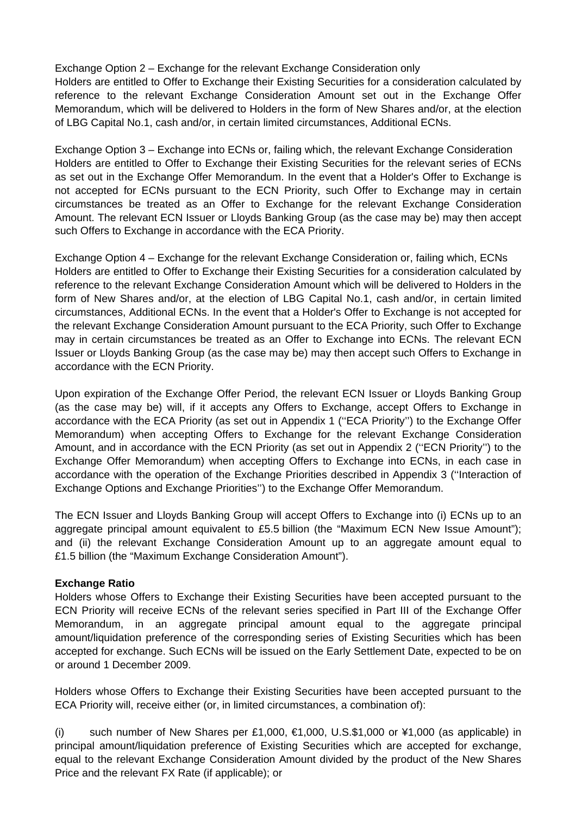Exchange Option 2 – Exchange for the relevant Exchange Consideration only

Holders are entitled to Offer to Exchange their Existing Securities for a consideration calculated by reference to the relevant Exchange Consideration Amount set out in the Exchange Offer Memorandum, which will be delivered to Holders in the form of New Shares and/or, at the election of LBG Capital No.1, cash and/or, in certain limited circumstances, Additional ECNs.

Exchange Option 3 – Exchange into ECNs or, failing which, the relevant Exchange Consideration Holders are entitled to Offer to Exchange their Existing Securities for the relevant series of ECNs as set out in the Exchange Offer Memorandum. In the event that a Holder's Offer to Exchange is not accepted for ECNs pursuant to the ECN Priority, such Offer to Exchange may in certain circumstances be treated as an Offer to Exchange for the relevant Exchange Consideration Amount. The relevant ECN Issuer or Lloyds Banking Group (as the case may be) may then accept such Offers to Exchange in accordance with the ECA Priority.

Exchange Option 4 – Exchange for the relevant Exchange Consideration or, failing which, ECNs Holders are entitled to Offer to Exchange their Existing Securities for a consideration calculated by reference to the relevant Exchange Consideration Amount which will be delivered to Holders in the form of New Shares and/or, at the election of LBG Capital No.1, cash and/or, in certain limited circumstances, Additional ECNs. In the event that a Holder's Offer to Exchange is not accepted for the relevant Exchange Consideration Amount pursuant to the ECA Priority, such Offer to Exchange may in certain circumstances be treated as an Offer to Exchange into ECNs. The relevant ECN Issuer or Lloyds Banking Group (as the case may be) may then accept such Offers to Exchange in accordance with the ECN Priority.

Upon expiration of the Exchange Offer Period, the relevant ECN Issuer or Lloyds Banking Group (as the case may be) will, if it accepts any Offers to Exchange, accept Offers to Exchange in accordance with the ECA Priority (as set out in Appendix 1 (''ECA Priority'') to the Exchange Offer Memorandum) when accepting Offers to Exchange for the relevant Exchange Consideration Amount, and in accordance with the ECN Priority (as set out in Appendix 2 (''ECN Priority'') to the Exchange Offer Memorandum) when accepting Offers to Exchange into ECNs, in each case in accordance with the operation of the Exchange Priorities described in Appendix 3 (''Interaction of Exchange Options and Exchange Priorities'') to the Exchange Offer Memorandum.

The ECN Issuer and Lloyds Banking Group will accept Offers to Exchange into (i) ECNs up to an aggregate principal amount equivalent to £5.5 billion (the "Maximum ECN New Issue Amount"); and (ii) the relevant Exchange Consideration Amount up to an aggregate amount equal to £1.5 billion (the "Maximum Exchange Consideration Amount").

### **Exchange Ratio**

Holders whose Offers to Exchange their Existing Securities have been accepted pursuant to the ECN Priority will receive ECNs of the relevant series specified in Part III of the Exchange Offer Memorandum, in an aggregate principal amount equal to the aggregate principal amount/liquidation preference of the corresponding series of Existing Securities which has been accepted for exchange. Such ECNs will be issued on the Early Settlement Date, expected to be on or around 1 December 2009.

Holders whose Offers to Exchange their Existing Securities have been accepted pursuant to the ECA Priority will, receive either (or, in limited circumstances, a combination of):

(i) such number of New Shares per £1,000,  $\epsilon$ 1,000, U.S.\$1,000 or ¥1,000 (as applicable) in principal amount/liquidation preference of Existing Securities which are accepted for exchange, equal to the relevant Exchange Consideration Amount divided by the product of the New Shares Price and the relevant FX Rate (if applicable); or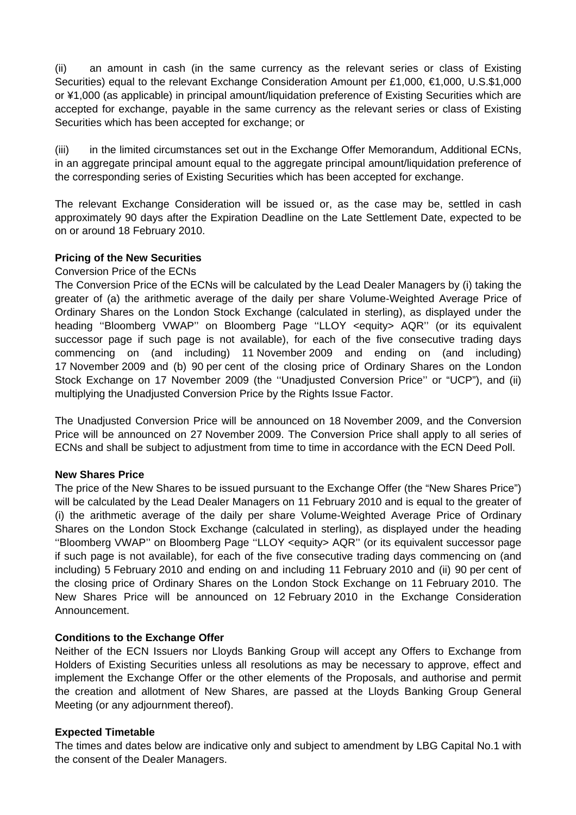(ii) an amount in cash (in the same currency as the relevant series or class of Existing Securities) equal to the relevant Exchange Consideration Amount per £1,000, €1,000, U.S.\$1,000 or ¥1,000 (as applicable) in principal amount/liquidation preference of Existing Securities which are accepted for exchange, payable in the same currency as the relevant series or class of Existing Securities which has been accepted for exchange; or

(iii) in the limited circumstances set out in the Exchange Offer Memorandum, Additional ECNs, in an aggregate principal amount equal to the aggregate principal amount/liquidation preference of the corresponding series of Existing Securities which has been accepted for exchange.

The relevant Exchange Consideration will be issued or, as the case may be, settled in cash approximately 90 days after the Expiration Deadline on the Late Settlement Date, expected to be on or around 18 February 2010.

## **Pricing of the New Securities**

### Conversion Price of the ECNs

The Conversion Price of the ECNs will be calculated by the Lead Dealer Managers by (i) taking the greater of (a) the arithmetic average of the daily per share Volume-Weighted Average Price of Ordinary Shares on the London Stock Exchange (calculated in sterling), as displayed under the heading ''Bloomberg VWAP'' on Bloomberg Page ''LLOY <equity> AQR'' (or its equivalent successor page if such page is not available), for each of the five consecutive trading days commencing on (and including) 11 November 2009 and ending on (and including) 17 November 2009 and (b) 90 per cent of the closing price of Ordinary Shares on the London Stock Exchange on 17 November 2009 (the ''Unadjusted Conversion Price'' or "UCP"), and (ii) multiplying the Unadjusted Conversion Price by the Rights Issue Factor.

The Unadjusted Conversion Price will be announced on 18 November 2009, and the Conversion Price will be announced on 27 November 2009. The Conversion Price shall apply to all series of ECNs and shall be subject to adjustment from time to time in accordance with the ECN Deed Poll.

### **New Shares Price**

The price of the New Shares to be issued pursuant to the Exchange Offer (the "New Shares Price") will be calculated by the Lead Dealer Managers on 11 February 2010 and is equal to the greater of (i) the arithmetic average of the daily per share Volume-Weighted Average Price of Ordinary Shares on the London Stock Exchange (calculated in sterling), as displayed under the heading ''Bloomberg VWAP'' on Bloomberg Page ''LLOY <equity> AQR'' (or its equivalent successor page if such page is not available), for each of the five consecutive trading days commencing on (and including) 5 February 2010 and ending on and including 11 February 2010 and (ii) 90 per cent of the closing price of Ordinary Shares on the London Stock Exchange on 11 February 2010. The New Shares Price will be announced on 12 February 2010 in the Exchange Consideration Announcement.

### **Conditions to the Exchange Offer**

Neither of the ECN Issuers nor Lloyds Banking Group will accept any Offers to Exchange from Holders of Existing Securities unless all resolutions as may be necessary to approve, effect and implement the Exchange Offer or the other elements of the Proposals, and authorise and permit the creation and allotment of New Shares, are passed at the Lloyds Banking Group General Meeting (or any adjournment thereof).

### **Expected Timetable**

The times and dates below are indicative only and subject to amendment by LBG Capital No.1 with the consent of the Dealer Managers.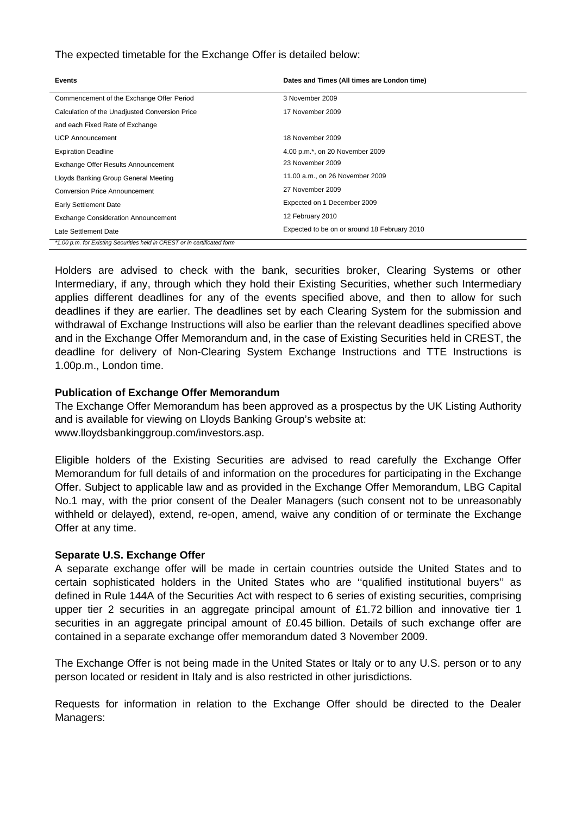The expected timetable for the Exchange Offer is detailed below:

| <b>Events</b>                                                            | Dates and Times (All times are London time)  |
|--------------------------------------------------------------------------|----------------------------------------------|
| Commencement of the Exchange Offer Period                                | 3 November 2009                              |
| Calculation of the Unadjusted Conversion Price                           | 17 November 2009                             |
| and each Fixed Rate of Exchange                                          |                                              |
| <b>UCP Announcement</b>                                                  | 18 November 2009                             |
| <b>Expiration Deadline</b>                                               | 4.00 p.m.*, on 20 November 2009              |
| Exchange Offer Results Announcement                                      | 23 November 2009                             |
| Lloyds Banking Group General Meeting                                     | 11.00 a.m., on 26 November 2009              |
| Conversion Price Announcement                                            | 27 November 2009                             |
| <b>Early Settlement Date</b>                                             | Expected on 1 December 2009                  |
| <b>Exchange Consideration Announcement</b>                               | 12 February 2010                             |
| Late Settlement Date                                                     | Expected to be on or around 18 February 2010 |
| *1.00 p.m. for Existing Securities held in CREST or in certificated form |                                              |

Holders are advised to check with the bank, securities broker, Clearing Systems or other Intermediary, if any, through which they hold their Existing Securities, whether such Intermediary applies different deadlines for any of the events specified above, and then to allow for such deadlines if they are earlier. The deadlines set by each Clearing System for the submission and withdrawal of Exchange Instructions will also be earlier than the relevant deadlines specified above and in the Exchange Offer Memorandum and, in the case of Existing Securities held in CREST, the deadline for delivery of Non-Clearing System Exchange Instructions and TTE Instructions is 1.00p.m., London time.

### **Publication of Exchange Offer Memorandum**

The Exchange Offer Memorandum has been approved as a prospectus by the UK Listing Authority and is available for viewing on Lloyds Banking Group's website at: www.lloydsbankinggroup.com/investors.asp.

Eligible holders of the Existing Securities are advised to read carefully the Exchange Offer Memorandum for full details of and information on the procedures for participating in the Exchange Offer. Subject to applicable law and as provided in the Exchange Offer Memorandum, LBG Capital No.1 may, with the prior consent of the Dealer Managers (such consent not to be unreasonably withheld or delayed), extend, re-open, amend, waive any condition of or terminate the Exchange Offer at any time.

### **Separate U.S. Exchange Offer**

A separate exchange offer will be made in certain countries outside the United States and to certain sophisticated holders in the United States who are ''qualified institutional buyers'' as defined in Rule 144A of the Securities Act with respect to 6 series of existing securities, comprising upper tier 2 securities in an aggregate principal amount of £1.72 billion and innovative tier 1 securities in an aggregate principal amount of £0.45 billion. Details of such exchange offer are contained in a separate exchange offer memorandum dated 3 November 2009.

The Exchange Offer is not being made in the United States or Italy or to any U.S. person or to any person located or resident in Italy and is also restricted in other jurisdictions.

Requests for information in relation to the Exchange Offer should be directed to the Dealer Managers: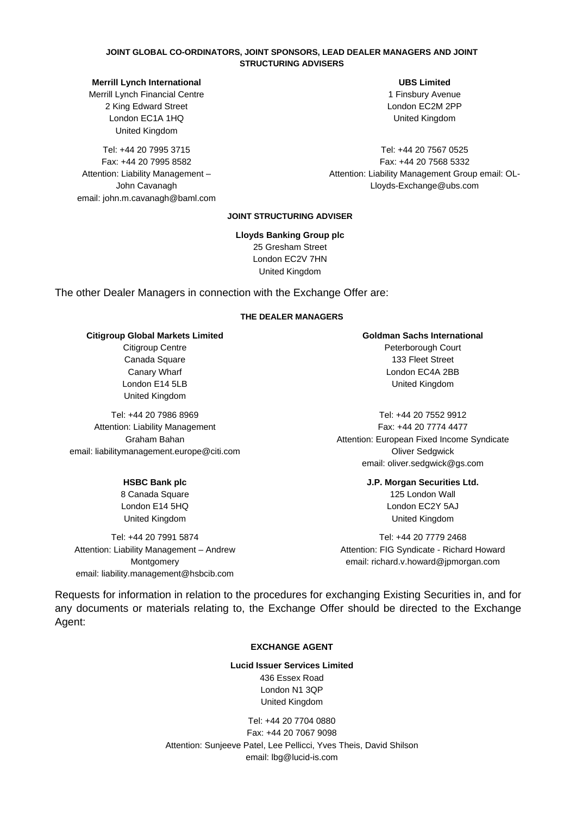#### **JOINT GLOBAL CO-ORDINATORS, JOINT SPONSORS, LEAD DEALER MANAGERS AND JOINT STRUCTURING ADVISERS**

#### **Merrill Lynch International**

Merrill Lynch Financial Centre 2 King Edward Street London EC1A 1HQ United Kingdom

Tel: +44 20 7995 3715 Fax: +44 20 7995 8582 Attention: Liability Management – John Cavanagh email: john.m.cavanagh@baml.com

 **UBS Limited**  1 Finsbury Avenue London EC2M 2PP United Kingdom

 Tel: +44 20 7567 0525 Fax: +44 20 7568 5332 Attention: Liability Management Group email: OL-Lloyds-Exchange@ubs.com

#### **JOINT STRUCTURING ADVISER**

**Lloyds Banking Group plc** 25 Gresham Street London EC2V 7HN United Kingdom

The other Dealer Managers in connection with the Exchange Offer are:

#### **THE DEALER MANAGERS**

**Citigroup Global Markets Limited** 

Citigroup Centre Canada Square Canary Wharf London E14 5LB United Kingdom

Tel: +44 20 7986 8969 Attention: Liability Management Graham Bahan email: liabilitymanagement.europe@citi.com

#### **HSBC Bank plc**

8 Canada Square London E14 5HQ United Kingdom

Tel: +44 20 7991 5874 Attention: Liability Management – Andrew Montgomery email: liability.management@hsbcib.com  **Goldman Sachs International**  Peterborough Court 133 Fleet Street London EC4A 2BB United Kingdom

Tel: +44 20 7552 9912 Fax: +44 20 7774 4477 Attention: European Fixed Income Syndicate Oliver Sedgwick email: oliver.sedgwick@gs.com

> **J.P. Morgan Securities Ltd.**  125 London Wall London EC2Y 5AJ United Kingdom

Tel: +44 20 7779 2468 Attention: FIG Syndicate - Richard Howard email: richard.v.howard@jpmorgan.com

Requests for information in relation to the procedures for exchanging Existing Securities in, and for any documents or materials relating to, the Exchange Offer should be directed to the Exchange Agent:

#### **EXCHANGE AGENT**

### **Lucid Issuer Services Limited**

436 Essex Road London N1 3QP United Kingdom

Tel: +44 20 7704 0880 Fax: +44 20 7067 9098 Attention: Sunjeeve Patel, Lee Pellicci, Yves Theis, David Shilson email: lbg@lucid-is.com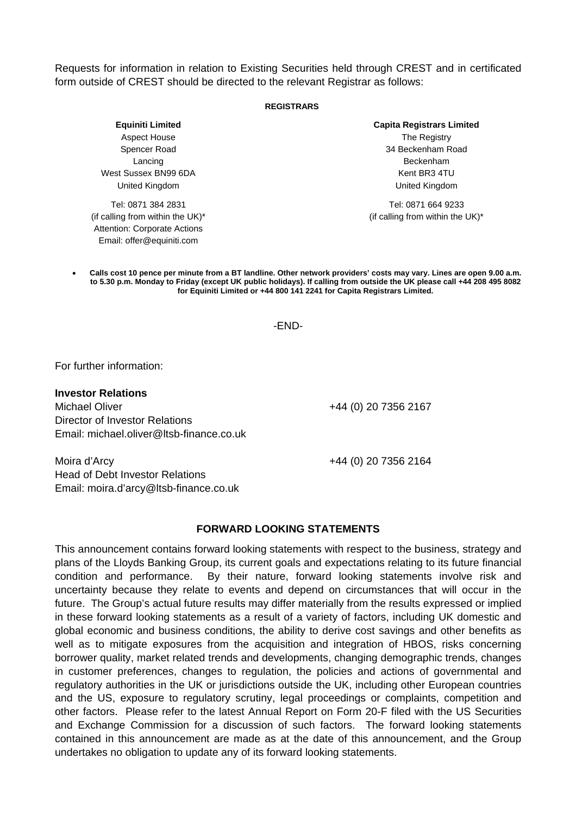Requests for information in relation to Existing Securities held through CREST and in certificated form outside of CREST should be directed to the relevant Registrar as follows:

#### **REGISTRARS**

**Capita Registrars Limited** The Registry 34 Beckenham Road Beckenham Kent BR3 4TU United Kingdom

 Tel: 0871 664 9233 (if calling from within the UK)\*

• **Calls cost 10 pence per minute from a BT landline. Other network providers' costs may vary. Lines are open 9.00 a.m. to 5.30 p.m. Monday to Friday (except UK public holidays). If calling from outside the UK please call +44 208 495 8082 for Equiniti Limited or +44 800 141 2241 for Capita Registrars Limited.** 

#### -END-

For further information:

#### **Investor Relations**

Michael Oliver **+44 (0) 20 7356 2167** Director of Investor Relations Email: michael.oliver@ltsb-finance.co.uk

Moira d'Arcy +44 (0) 20 7356 2164 Head of Debt Investor Relations Email: moira.d'arcy@ltsb-finance.co.uk

#### **FORWARD LOOKING STATEMENTS**

This announcement contains forward looking statements with respect to the business, strategy and plans of the Lloyds Banking Group, its current goals and expectations relating to its future financial condition and performance. By their nature, forward looking statements involve risk and uncertainty because they relate to events and depend on circumstances that will occur in the future. The Group's actual future results may differ materially from the results expressed or implied in these forward looking statements as a result of a variety of factors, including UK domestic and global economic and business conditions, the ability to derive cost savings and other benefits as well as to mitigate exposures from the acquisition and integration of HBOS, risks concerning borrower quality, market related trends and developments, changing demographic trends, changes in customer preferences, changes to regulation, the policies and actions of governmental and regulatory authorities in the UK or jurisdictions outside the UK, including other European countries and the US, exposure to regulatory scrutiny, legal proceedings or complaints, competition and other factors. Please refer to the latest Annual Report on Form 20-F filed with the US Securities and Exchange Commission for a discussion of such factors. The forward looking statements contained in this announcement are made as at the date of this announcement, and the Group undertakes no obligation to update any of its forward looking statements.

**Equiniti Limited** Aspect House Spencer Road Lancing West Sussex BN99 6DA

Tel: 0871 384 2831 (if calling from within the UK)\* Attention: Corporate Actions Email: offer@equiniti.com

United Kingdom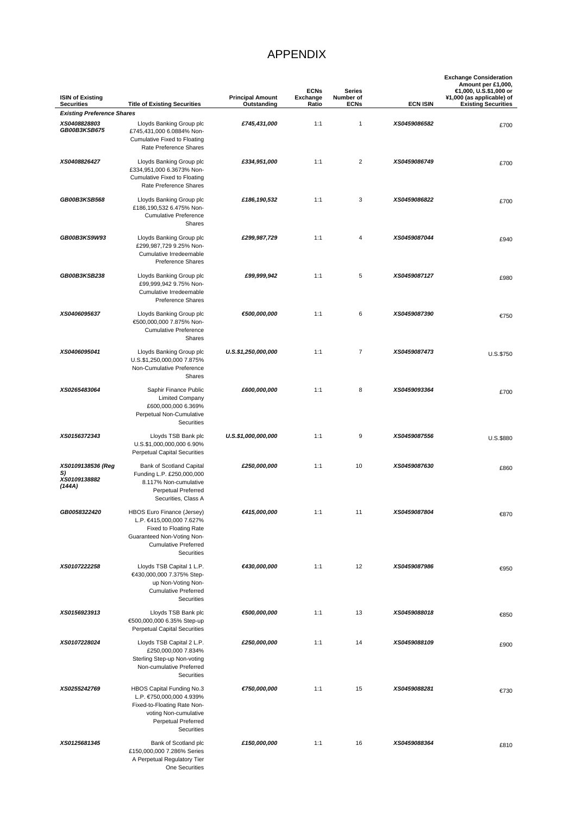# APPENDIX

| <b>ISIN of Existing</b><br><b>Securities</b>      | <b>Title of Existing Securities</b>                                                                                                                                | <b>Principal Amount</b><br>Outstanding | <b>ECNs</b><br><b>Exchange</b><br>Ratio | <b>Series</b><br>Number of<br><b>ECNs</b> | <b>ECN ISIN</b> | <b>Exchange Consideration</b><br>Amount per £1,000,<br>€1,000, U.S.\$1,000 or<br>¥1,000 (as applicable) of<br><b>Existing Securities</b> |
|---------------------------------------------------|--------------------------------------------------------------------------------------------------------------------------------------------------------------------|----------------------------------------|-----------------------------------------|-------------------------------------------|-----------------|------------------------------------------------------------------------------------------------------------------------------------------|
| <b>Existing Preference Shares</b>                 |                                                                                                                                                                    |                                        |                                         |                                           |                 |                                                                                                                                          |
| XS0408828803<br>GB00B3KSB675                      | Lloyds Banking Group plc<br>£745,431,000 6.0884% Non-<br><b>Cumulative Fixed to Floating</b><br>Rate Preference Shares                                             | £745,431,000                           | 1:1                                     | 1                                         | XS0459086582    | £700                                                                                                                                     |
| XS0408826427                                      | Lloyds Banking Group plc<br>£334,951,000 6.3673% Non-<br><b>Cumulative Fixed to Floating</b><br>Rate Preference Shares                                             | £334,951,000                           | 1:1                                     | $\overline{c}$                            | XS0459086749    | £700                                                                                                                                     |
| GB00B3KSB568                                      | Lloyds Banking Group plc<br>£186,190,532 6.475% Non-<br><b>Cumulative Preference</b><br>Shares                                                                     | £186,190,532                           | 1:1                                     | 3                                         | XS0459086822    | £700                                                                                                                                     |
| GB00B3KS9W93                                      | Lloyds Banking Group plc<br>£299,987,729 9.25% Non-<br>Cumulative Irredeemable<br><b>Preference Shares</b>                                                         | £299,987,729                           | 1:1                                     | 4                                         | XS0459087044    | £940                                                                                                                                     |
| GB00B3KSB238                                      | Lloyds Banking Group plc<br>£99,999,942 9.75% Non-<br>Cumulative Irredeemable<br><b>Preference Shares</b>                                                          | £99,999,942                            | 1:1                                     | 5                                         | XS0459087127    | £980                                                                                                                                     |
| XS0406095637                                      | Lloyds Banking Group plc<br>€500,000,000 7.875% Non-<br><b>Cumulative Preference</b><br>Shares                                                                     | €500,000,000                           | 1:1                                     | 6                                         | XS0459087390    | €750                                                                                                                                     |
| XS0406095041                                      | Lloyds Banking Group plc<br>U.S.\$1,250,000,000 7.875%<br>Non-Cumulative Preference<br>Shares                                                                      | U.S.\$1,250,000,000                    | 1:1                                     | $\overline{7}$                            | XS0459087473    | U.S.\$750                                                                                                                                |
| XS0265483064                                      | Saphir Finance Public<br><b>Limited Company</b><br>£600,000,000 6.369%<br>Perpetual Non-Cumulative<br>Securities                                                   | £600,000,000                           | 1:1                                     | 8                                         | XS0459093364    | £700                                                                                                                                     |
| XS0156372343                                      | Lloyds TSB Bank plc<br>U.S.\$1,000,000,000 6.90%<br><b>Perpetual Capital Securities</b>                                                                            | U.S.\$1,000,000,000                    | 1:1                                     | 9                                         | XS0459087556    | U.S.\$880                                                                                                                                |
| XS0109138536 (Reg<br>S)<br>XS0109138882<br>(144A) | Bank of Scotland Capital<br>Funding L.P. £250,000,000<br>8.117% Non-cumulative<br><b>Perpetual Preferred</b><br>Securities, Class A                                | £250,000,000                           | 1:1                                     | 10                                        | XS0459087630    | £860                                                                                                                                     |
| GB0058322420                                      | HBOS Euro Finance (Jersey)<br>L.P. €415,000,000 7.627%<br>Fixed to Floating Rate<br>Guaranteed Non-Voting Non-<br><b>Cumulative Preferred</b><br><b>Securities</b> | €415,000,000                           | 1:1                                     | 11                                        | XS0459087804    | €870                                                                                                                                     |
| XS0107222258                                      | Lloyds TSB Capital 1 L.P.<br>€430,000,000 7.375% Step-<br>up Non-Voting Non-<br><b>Cumulative Preferred</b><br>Securities                                          | €430,000,000                           | 1:1                                     | 12                                        | XS0459087986    | €950                                                                                                                                     |
| XS0156923913                                      | Lloyds TSB Bank plc<br>€500,000,000 6.35% Step-up<br><b>Perpetual Capital Securities</b>                                                                           | €500,000,000                           | 1:1                                     | 13                                        | XS0459088018    | €850                                                                                                                                     |
| XS0107228024                                      | Lloyds TSB Capital 2 L.P.<br>£250,000,000 7.834%<br>Sterling Step-up Non-voting<br>Non-cumulative Preferred<br>Securities                                          | £250,000,000                           | 1:1                                     | 14                                        | XS0459088109    | £900                                                                                                                                     |
| XS0255242769                                      | HBOS Capital Funding No.3<br>L.P. €750,000,000 4.939%<br>Fixed-to-Floating Rate Non-<br>voting Non-cumulative<br>Perpetual Preferred<br>Securities                 | €750,000,000                           | 1:1                                     | 15                                        | XS0459088281    | €730                                                                                                                                     |
| XS0125681345                                      | Bank of Scotland plc<br>£150,000,000 7.286% Series<br>A Perpetual Regulatory Tier<br>One Securities                                                                | £150,000,000                           | 1:1                                     | 16                                        | XS0459088364    | £810                                                                                                                                     |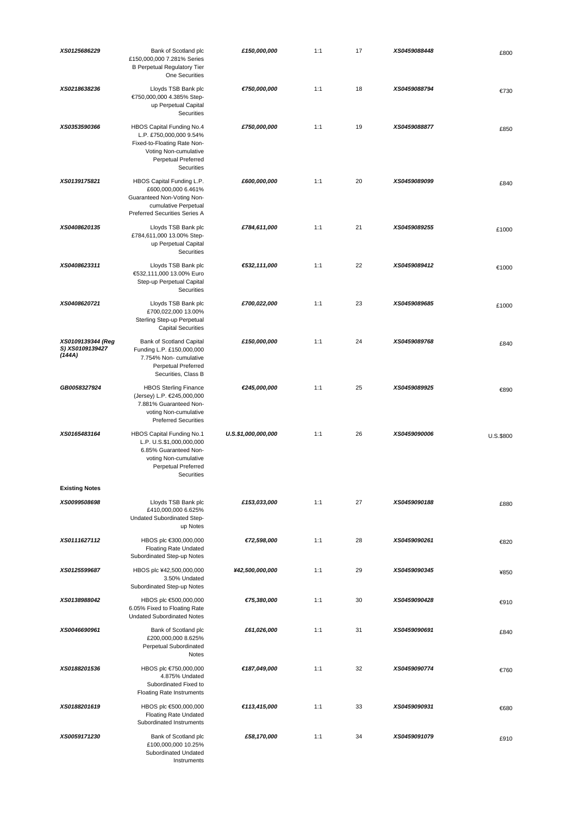| XS0125686229                                   | Bank of Scotland plc<br>£150,000,000 7.281% Series<br><b>B Perpetual Regulatory Tier</b><br>One Securities                                               | £150,000,000        | 1:1 | 17 | XS0459088448 | £800      |
|------------------------------------------------|----------------------------------------------------------------------------------------------------------------------------------------------------------|---------------------|-----|----|--------------|-----------|
| XS0218638236                                   | Lloyds TSB Bank plc<br>€750,000,000 4.385% Step-<br>up Perpetual Capital<br><b>Securities</b>                                                            | €750,000,000        | 1:1 | 18 | XS0459088794 | €730      |
| XS0353590366                                   | HBOS Capital Funding No.4<br>L.P. £750,000,000 9.54%<br>Fixed-to-Floating Rate Non-<br>Voting Non-cumulative<br>Perpetual Preferred<br><b>Securities</b> | £750,000,000        | 1:1 | 19 | XS0459088877 | £850      |
| XS0139175821                                   | HBOS Capital Funding L.P.<br>£600,000,000 6.461%<br>Guaranteed Non-Voting Non-<br>cumulative Perpetual<br>Preferred Securities Series A                  | £600,000,000        | 1:1 | 20 | XS0459089099 | £840      |
| XS0408620135                                   | Lloyds TSB Bank plc<br>£784,611,000 13.00% Step-<br>up Perpetual Capital<br>Securities                                                                   | £784,611,000        | 1:1 | 21 | XS0459089255 | £1000     |
| XS0408623311                                   | Lloyds TSB Bank plc<br>€532,111,000 13.00% Euro<br>Step-up Perpetual Capital<br>Securities                                                               | €532,111,000        | 1:1 | 22 | XS0459089412 | €1000     |
| XS0408620721                                   | Lloyds TSB Bank plc<br>£700,022,000 13.00%<br>Sterling Step-up Perpetual<br><b>Capital Securities</b>                                                    | £700,022,000        | 1:1 | 23 | XS0459089685 | £1000     |
| XS0109139344 (Reg<br>S) XS0109139427<br>(144A) | Bank of Scotland Capital<br>Funding L.P. £150,000,000<br>7.754% Non-cumulative<br>Perpetual Preferred<br>Securities, Class B                             | £150,000,000        | 1:1 | 24 | XS0459089768 | £840      |
| GB0058327924                                   | <b>HBOS Sterling Finance</b><br>(Jersey) L.P. €245,000,000<br>7.881% Guaranteed Non-<br>voting Non-cumulative<br><b>Preferred Securities</b>             | €245,000,000        | 1:1 | 25 | XS0459089925 | €890      |
| XS0165483164                                   | HBOS Capital Funding No.1<br>L.P. U.S.\$1,000,000,000<br>6.85% Guaranteed Non-<br>voting Non-cumulative<br>Perpetual Preferred<br>Securities             | U.S.\$1,000,000,000 | 1:1 | 26 | XS0459090006 | U.S.\$800 |
| <b>Existing Notes</b>                          |                                                                                                                                                          |                     |     |    |              |           |
| XS0099508698                                   | Lloyds TSB Bank plc<br>£410,000,000 6.625%<br>Undated Subordinated Step-<br>up Notes                                                                     | £153,033,000        | 1:1 | 27 | XS0459090188 | £880      |
| XS0111627112                                   | HBOS plc €300,000,000<br><b>Floating Rate Undated</b><br>Subordinated Step-up Notes                                                                      | €72,598,000         | 1:1 | 28 | XS0459090261 | €820      |
| XS0125599687                                   | HBOS plc ¥42,500,000,000<br>3.50% Undated<br>Subordinated Step-up Notes                                                                                  | ¥42,500,000,000     | 1:1 | 29 | XS0459090345 | ¥850      |
| XS0138988042                                   | HBOS plc €500,000,000<br>6.05% Fixed to Floating Rate<br><b>Undated Subordinated Notes</b>                                                               | €75,380,000         | 1:1 | 30 | XS0459090428 | €910      |
| XS0046690961                                   | Bank of Scotland plc<br>£200,000,000 8.625%<br>Perpetual Subordinated<br>Notes                                                                           | £61,026,000         | 1:1 | 31 | XS0459090691 | £840      |
| XS0188201536                                   | HBOS plc €750,000,000<br>4.875% Undated<br>Subordinated Fixed to<br><b>Floating Rate Instruments</b>                                                     | €187,049,000        | 1:1 | 32 | XS0459090774 | €760      |
| XS0188201619                                   | HBOS plc €500,000,000<br><b>Floating Rate Undated</b><br>Subordinated Instruments                                                                        | €113,415,000        | 1:1 | 33 | XS0459090931 | €680      |
| XS0059171230                                   | Bank of Scotland plc<br>£100,000,000 10.25%<br>Subordinated Undated<br>Instruments                                                                       | £58,170,000         | 1:1 | 34 | XS0459091079 | £910      |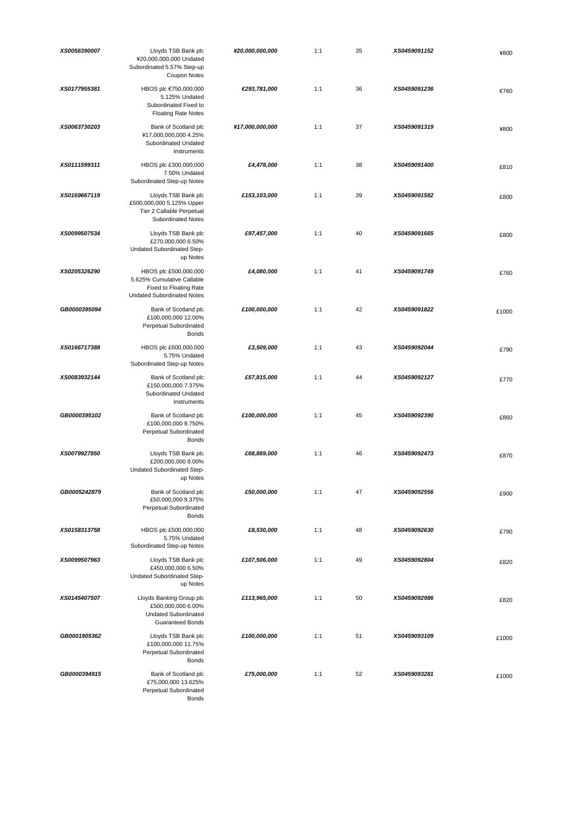| XS0056390007 | Lloyds TSB Bank plc<br>¥20,000,000,000 Undated<br>Subordinated 5.57% Step-up<br>Coupon Notes                       | ¥20,000,000,000 | 1:1 | 35 | XS0459091152 | ¥800  |
|--------------|--------------------------------------------------------------------------------------------------------------------|-----------------|-----|----|--------------|-------|
| XS0177955381 | HBOS plc €750,000,000<br>5.125% Undated<br>Subordinated Fixed to<br><b>Floating Rate Notes</b>                     | €293,781,000    | 1:1 | 36 | XS0459091236 | €760  |
| XS0063730203 | Bank of Scotland plc<br>¥17,000,000,000 4.25%<br>Subordinated Undated<br>Instruments                               | ¥17,000,000,000 | 1:1 | 37 | XS0459091319 | ¥800  |
| XS0111599311 | HBOS plc £300,000,000<br>7.50% Undated<br>Subordinated Step-up Notes                                               | £4,478,000      | 1:1 | 38 | XS0459091400 | £810  |
| XS0169667119 | Lloyds TSB Bank plc<br>£500,000,000 5.125% Upper<br>Tier 2 Callable Perpetual<br><b>Subordinated Notes</b>         | £153,103,000    | 1:1 | 39 | XS0459091582 | £800  |
| XS0099507534 | Lloyds TSB Bank plc<br>£270,000,000 6.50%<br>Undated Subordinated Step-<br>up Notes                                | £97,457,000     | 1:1 | 40 | XS0459091665 | £800  |
| XS0205326290 | HBOS plc £500,000,000<br>5.625% Cumulative Callable<br>Fixed to Floating Rate<br><b>Undated Subordinated Notes</b> | £4,080,000      | 1:1 | 41 | XS0459091749 | £760  |
| GB0000395094 | Bank of Scotland plc<br>£100,000,000 12.00%<br>Perpetual Subordinated<br><b>Bonds</b>                              | £100,000,000    | 1:1 | 42 | XS0459091822 | £1000 |
| XS0166717388 | HBOS plc £600,000,000<br>5.75% Undated<br>Subordinated Step-up Notes                                               | £3,509,000      | 1:1 | 43 | XS0459092044 | £790  |
| XS0083932144 | Bank of Scotland plc<br>£150,000,000 7.375%<br>Subordinated Undated<br>Instruments                                 | £57,815,000     | 1:1 | 44 | XS0459092127 | £770  |
| GB0000395102 | Bank of Scotland plc<br>£100,000,000 8.750%<br>Perpetual Subordinated<br><b>Bonds</b>                              | £100,000,000    | 1:1 | 45 | XS0459092390 | £860  |
| XS0079927850 | Lloyds TSB Bank plc<br>£200,000,000 8.00%<br>Undated Subordinated Step-<br>up Notes                                | £68,869,000     | 1:1 | 46 | XS0459092473 | £870  |
| GB0005242879 | Bank of Scotland plc<br>£50,000,000 9.375%<br>Perpetual Subordinated<br><b>Bonds</b>                               | £50,000,000     | 1:1 | 47 | XS0459092556 | £900  |
| XS0158313758 | HBOS plc £500,000,000<br>5.75% Undated<br>Subordinated Step-up Notes                                               | £8,530,000      | 1:1 | 48 | XS0459092630 | £790  |
| XS0099507963 | Lloyds TSB Bank plc<br>£450,000,000 6.50%<br>Undated Subordinated Step-<br>up Notes                                | £107,506,000    | 1:1 | 49 | XS0459092804 | £820  |
| XS0145407507 | Lloyds Banking Group plc<br>£500,000,000 6.00%<br><b>Undated Subordinated</b><br><b>Guaranteed Bonds</b>           | £113,965,000    | 1:1 | 50 | XS0459092986 | £820  |
| GB0001905362 | Lloyds TSB Bank plc<br>£100,000,000 11.75%<br>Perpetual Subordinated<br><b>Bonds</b>                               | £100,000,000    | 1:1 | 51 | XS0459093109 | £1000 |
| GB0000394915 | Bank of Scotland plc<br>£75,000,000 13.625%<br>Perpetual Subordinated<br><b>Bonds</b>                              | £75,000,000     | 1:1 | 52 | XS0459093281 | £1000 |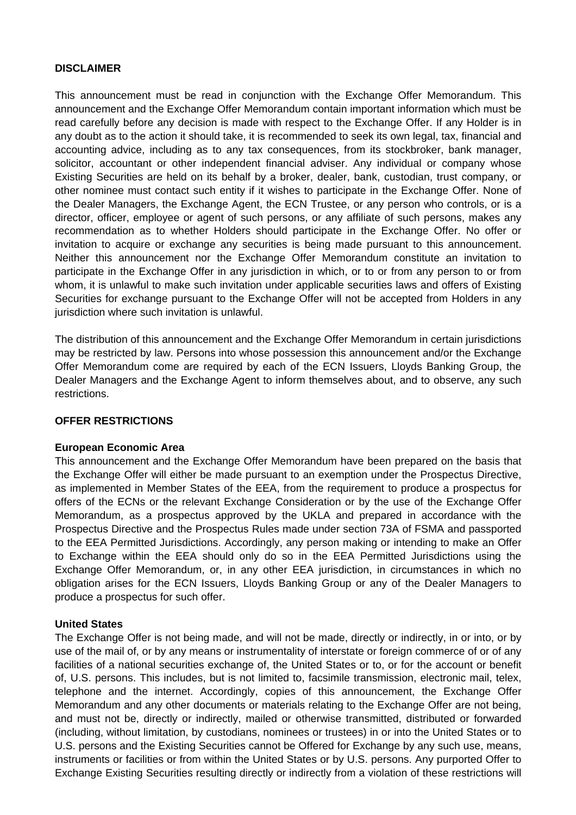### **DISCLAIMER**

This announcement must be read in conjunction with the Exchange Offer Memorandum. This announcement and the Exchange Offer Memorandum contain important information which must be read carefully before any decision is made with respect to the Exchange Offer. If any Holder is in any doubt as to the action it should take, it is recommended to seek its own legal, tax, financial and accounting advice, including as to any tax consequences, from its stockbroker, bank manager, solicitor, accountant or other independent financial adviser. Any individual or company whose Existing Securities are held on its behalf by a broker, dealer, bank, custodian, trust company, or other nominee must contact such entity if it wishes to participate in the Exchange Offer. None of the Dealer Managers, the Exchange Agent, the ECN Trustee, or any person who controls, or is a director, officer, employee or agent of such persons, or any affiliate of such persons, makes any recommendation as to whether Holders should participate in the Exchange Offer. No offer or invitation to acquire or exchange any securities is being made pursuant to this announcement. Neither this announcement nor the Exchange Offer Memorandum constitute an invitation to participate in the Exchange Offer in any jurisdiction in which, or to or from any person to or from whom, it is unlawful to make such invitation under applicable securities laws and offers of Existing Securities for exchange pursuant to the Exchange Offer will not be accepted from Holders in any jurisdiction where such invitation is unlawful.

The distribution of this announcement and the Exchange Offer Memorandum in certain jurisdictions may be restricted by law. Persons into whose possession this announcement and/or the Exchange Offer Memorandum come are required by each of the ECN Issuers, Lloyds Banking Group, the Dealer Managers and the Exchange Agent to inform themselves about, and to observe, any such restrictions.

### **OFFER RESTRICTIONS**

#### **European Economic Area**

This announcement and the Exchange Offer Memorandum have been prepared on the basis that the Exchange Offer will either be made pursuant to an exemption under the Prospectus Directive, as implemented in Member States of the EEA, from the requirement to produce a prospectus for offers of the ECNs or the relevant Exchange Consideration or by the use of the Exchange Offer Memorandum, as a prospectus approved by the UKLA and prepared in accordance with the Prospectus Directive and the Prospectus Rules made under section 73A of FSMA and passported to the EEA Permitted Jurisdictions. Accordingly, any person making or intending to make an Offer to Exchange within the EEA should only do so in the EEA Permitted Jurisdictions using the Exchange Offer Memorandum, or, in any other EEA jurisdiction, in circumstances in which no obligation arises for the ECN Issuers, Lloyds Banking Group or any of the Dealer Managers to produce a prospectus for such offer.

#### **United States**

The Exchange Offer is not being made, and will not be made, directly or indirectly, in or into, or by use of the mail of, or by any means or instrumentality of interstate or foreign commerce of or of any facilities of a national securities exchange of, the United States or to, or for the account or benefit of, U.S. persons. This includes, but is not limited to, facsimile transmission, electronic mail, telex, telephone and the internet. Accordingly, copies of this announcement, the Exchange Offer Memorandum and any other documents or materials relating to the Exchange Offer are not being, and must not be, directly or indirectly, mailed or otherwise transmitted, distributed or forwarded (including, without limitation, by custodians, nominees or trustees) in or into the United States or to U.S. persons and the Existing Securities cannot be Offered for Exchange by any such use, means, instruments or facilities or from within the United States or by U.S. persons. Any purported Offer to Exchange Existing Securities resulting directly or indirectly from a violation of these restrictions will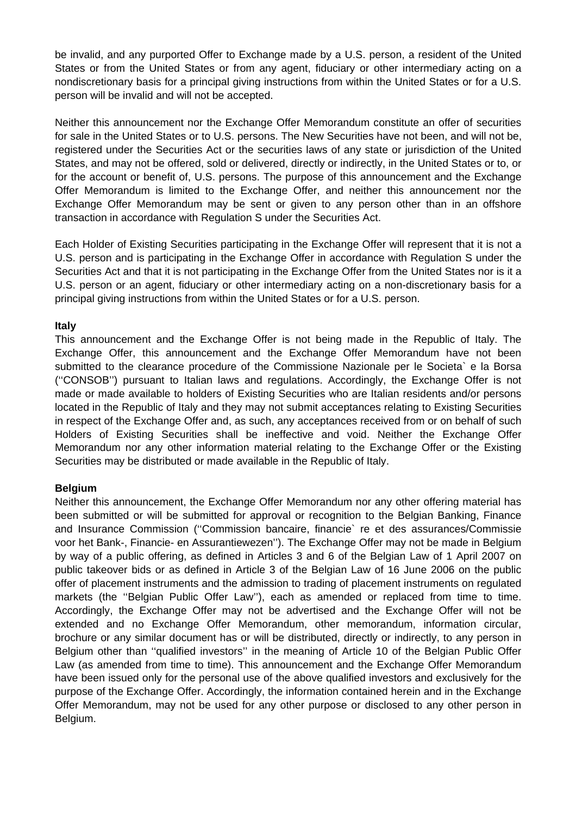be invalid, and any purported Offer to Exchange made by a U.S. person, a resident of the United States or from the United States or from any agent, fiduciary or other intermediary acting on a nondiscretionary basis for a principal giving instructions from within the United States or for a U.S. person will be invalid and will not be accepted.

Neither this announcement nor the Exchange Offer Memorandum constitute an offer of securities for sale in the United States or to U.S. persons. The New Securities have not been, and will not be, registered under the Securities Act or the securities laws of any state or jurisdiction of the United States, and may not be offered, sold or delivered, directly or indirectly, in the United States or to, or for the account or benefit of, U.S. persons. The purpose of this announcement and the Exchange Offer Memorandum is limited to the Exchange Offer, and neither this announcement nor the Exchange Offer Memorandum may be sent or given to any person other than in an offshore transaction in accordance with Regulation S under the Securities Act.

Each Holder of Existing Securities participating in the Exchange Offer will represent that it is not a U.S. person and is participating in the Exchange Offer in accordance with Regulation S under the Securities Act and that it is not participating in the Exchange Offer from the United States nor is it a U.S. person or an agent, fiduciary or other intermediary acting on a non-discretionary basis for a principal giving instructions from within the United States or for a U.S. person.

### **Italy**

This announcement and the Exchange Offer is not being made in the Republic of Italy. The Exchange Offer, this announcement and the Exchange Offer Memorandum have not been submitted to the clearance procedure of the Commissione Nazionale per le Societa` e la Borsa (''CONSOB'') pursuant to Italian laws and regulations. Accordingly, the Exchange Offer is not made or made available to holders of Existing Securities who are Italian residents and/or persons located in the Republic of Italy and they may not submit acceptances relating to Existing Securities in respect of the Exchange Offer and, as such, any acceptances received from or on behalf of such Holders of Existing Securities shall be ineffective and void. Neither the Exchange Offer Memorandum nor any other information material relating to the Exchange Offer or the Existing Securities may be distributed or made available in the Republic of Italy.

### **Belgium**

Neither this announcement, the Exchange Offer Memorandum nor any other offering material has been submitted or will be submitted for approval or recognition to the Belgian Banking, Finance and Insurance Commission (''Commission bancaire, financie` re et des assurances/Commissie voor het Bank-, Financie- en Assurantiewezen''). The Exchange Offer may not be made in Belgium by way of a public offering, as defined in Articles 3 and 6 of the Belgian Law of 1 April 2007 on public takeover bids or as defined in Article 3 of the Belgian Law of 16 June 2006 on the public offer of placement instruments and the admission to trading of placement instruments on regulated markets (the ''Belgian Public Offer Law''), each as amended or replaced from time to time. Accordingly, the Exchange Offer may not be advertised and the Exchange Offer will not be extended and no Exchange Offer Memorandum, other memorandum, information circular, brochure or any similar document has or will be distributed, directly or indirectly, to any person in Belgium other than ''qualified investors'' in the meaning of Article 10 of the Belgian Public Offer Law (as amended from time to time). This announcement and the Exchange Offer Memorandum have been issued only for the personal use of the above qualified investors and exclusively for the purpose of the Exchange Offer. Accordingly, the information contained herein and in the Exchange Offer Memorandum, may not be used for any other purpose or disclosed to any other person in Belgium.